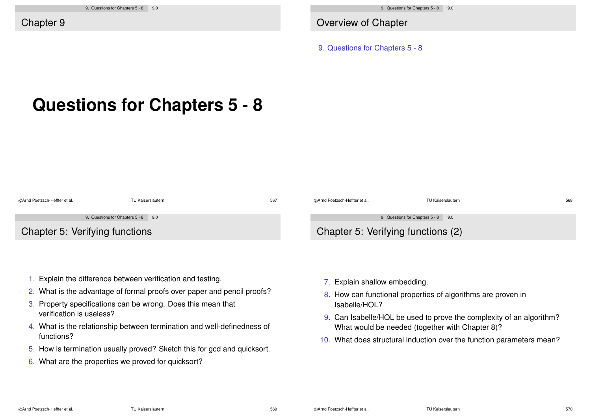Overview of Chapter

9. Questions for Chapters 5 - 8

# **Questions for Chapters 5 - 8**

| @Arnd Poetzsch-Heffter et al.  | TU Kaiserslautern                   | 567 | @Arnd Poetzsch-Heffter et al.      | TU Kaiserslautern                   | 568 |
|--------------------------------|-------------------------------------|-----|------------------------------------|-------------------------------------|-----|
|                                | 9. Questions for Chapters 5 - 8 9.0 |     |                                    | 9. Questions for Chapters 5 - 8 9.0 |     |
| Chapter 5: Verifying functions |                                     |     | Chapter 5: Verifying functions (2) |                                     |     |

- 1. Explain the difference between verification and testing.
- 2. What is the advantage of formal proofs over paper and pencil proofs?
- 3. Property specifications can be wrong. Does this mean that verification is useless?
- 4. What is the relationship between termination and well-definedness of functions?
- 5. How is termination usually proved? Sketch this for gcd and quicksort.
- 6. What are the properties we proved for quicksort?
- 7. Explain shallow embedding.
- 8. How can functional properties of algorithms are proven in Isabelle/HOL?
- 9. Can Isabelle/HOL be used to prove the complexity of an algorithm? What would be needed (together with Chapter 8)?
- 10. What does structural induction over the function parameters mean?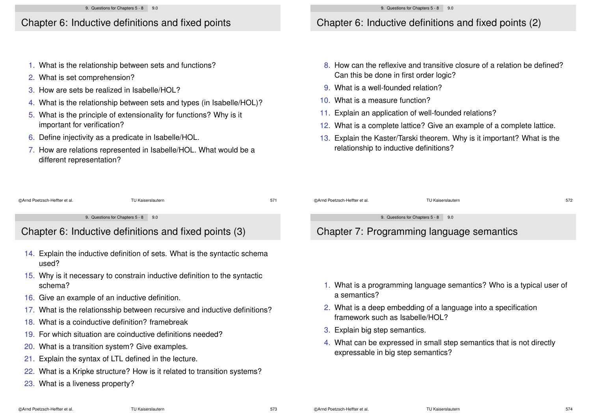#### Chapter 6: Inductive definitions and fixed points

- 1. What is the relationship between sets and functions?
- 2. What is set comprehension?
- 3. How are sets be realized in Isabelle/HOL?
- 4. What is the relationship between sets and types (in Isabelle/HOL)?
- 5. What is the principle of extensionality for functions? Why is it important for verification?
- 6. Define injectivity as a predicate in Isabelle/HOL.

16. Give an example of an inductive definition.

18. What is a coinductive definition? framebreak

20. What is a transition system? Give examples. 21. Explain the syntax of LTL defined in the lecture.

19. For which situation are coinductive definitions needed?

7. How are relations represented in Isabelle/HOL. What would be a different representation?

15. Why is it necessary to constrain inductive definition to the syntactic

17. What is the relationsship between recursive and inductive definitions?

22. What is a Kripke structure? How is it related to transition systems?

## Chapter 6: Inductive definitions and fixed points (2)

- 8. How can the reflexive and transitive closure of a relation be defined? Can this be done in first order logic?
- 9. What is a well-founded relation?
- 10. What is a measure function?
- 11. Explain an application of well-founded relations?
- 12. What is a complete lattice? Give an example of a complete lattice.
- 13. Explain the Kaster/Tarski theorem. Why is it important? What is the relationship to inductive definitions?

| @Arnd Poetzsch-Heffter et al.                         | TU Kaiserslautern                                                          | 571 | @Arnd Poetzsch-Heffter et al.             | TU Kaiserslautern | 572 |
|-------------------------------------------------------|----------------------------------------------------------------------------|-----|-------------------------------------------|-------------------|-----|
|                                                       |                                                                            |     |                                           |                   |     |
| 9. Questions for Chapters 5 - 8 9.0                   |                                                                            |     | 9. Questions for Chapters 5 - 8 9.0       |                   |     |
| Chapter 6: Inductive definitions and fixed points (3) |                                                                            |     | Chapter 7: Programming language semantics |                   |     |
|                                                       | 14. Explain the inductive definition of sets. What is the syntactic schema |     |                                           |                   |     |

- 1. What is a programming language semantics? Who is a typical user of a semantics?
- 2. What is a deep embedding of a language into a specification framework such as Isabelle/HOL?
- 3. Explain big step semantics.
- 4. What can be expressed in small step semantics that is not directly expressable in big step semantics?

23. What is a liveness property?

used?

schema?